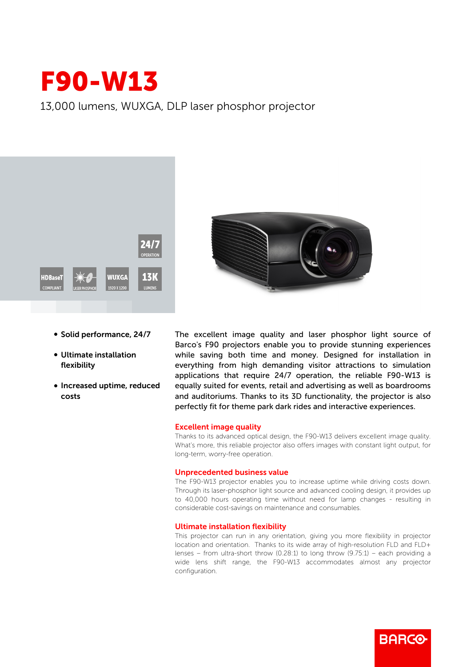

13,000 lumens, WUXGA, DLP laser phosphor projector



- Solid performance, 24/7
- Ultimate installation flexibility
- Increased uptime, reduced costs



The excellent image quality and laser phosphor light source of Barco's F90 projectors enable you to provide stunning experiences while saving both time and money. Designed for installation in everything from high demanding visitor attractions to simulation applications that require 24/7 operation, the reliable F90-W13 is equally suited for events, retail and advertising as well as boardrooms and auditoriums. Thanks to its 3D functionality, the projector is also perfectly fit for theme park dark rides and interactive experiences.

## Excellent image quality

Thanks to its advanced optical design, the F90-W13 delivers excellent image quality. What's more, this reliable projector also offers images with constant light output, for long-term, worry-free operation.

## Unprecedented business value

The F90-W13 projector enables you to increase uptime while driving costs down. Through its laser-phosphor light source and advanced cooling design, it provides up to 40,000 hours operating time without need for lamp changes - resulting in considerable cost-savings on maintenance and consumables.

## Ultimate installation flexibility

This projector can run in any orientation, giving you more flexibility in projector location and orientation. Thanks to its wide array of high-resolution FLD and FLD+ lenses – from ultra-short throw  $(0.28.1)$  to long throw  $(9.75.1)$  – each providing a wide lens shift range, the F90-W13 accommodates almost any projector configuration.

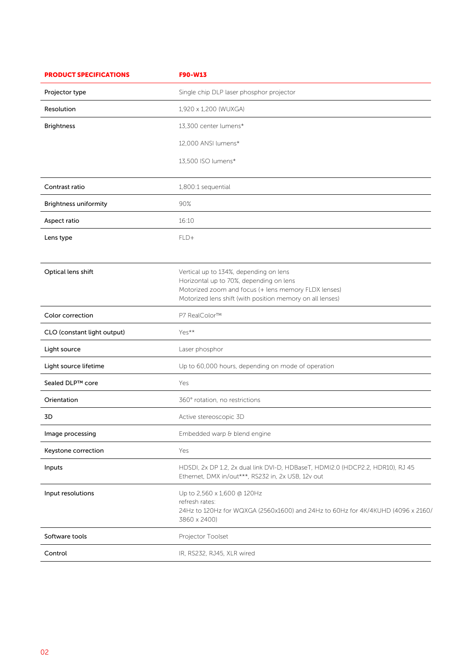| <b>PRODUCT SPECIFICATIONS</b> | F90-W13                                                                                                                                                                                                |
|-------------------------------|--------------------------------------------------------------------------------------------------------------------------------------------------------------------------------------------------------|
| Projector type                | Single chip DLP laser phosphor projector                                                                                                                                                               |
| Resolution                    | 1,920 x 1,200 (WUXGA)                                                                                                                                                                                  |
| <b>Brightness</b>             | 13,300 center lumens*                                                                                                                                                                                  |
|                               | 12,000 ANSI lumens*                                                                                                                                                                                    |
|                               | 13,500 ISO lumens*                                                                                                                                                                                     |
| Contrast ratio                | 1,800:1 sequential                                                                                                                                                                                     |
| <b>Brightness uniformity</b>  | 90%                                                                                                                                                                                                    |
| Aspect ratio                  | 16:10                                                                                                                                                                                                  |
| Lens type                     | FLD+                                                                                                                                                                                                   |
| Optical lens shift            | Vertical up to 134%, depending on lens<br>Horizontal up to 70%, depending on lens<br>Motorized zoom and focus (+ lens memory FLDX lenses)<br>Motorized lens shift (with position memory on all lenses) |
| Color correction              | P7 RealColor™                                                                                                                                                                                          |
| CLO (constant light output)   | Yes**                                                                                                                                                                                                  |
| Light source                  | Laser phosphor                                                                                                                                                                                         |
| Light source lifetime         | Up to 60,000 hours, depending on mode of operation                                                                                                                                                     |
| Sealed DLP™ core              | Yes                                                                                                                                                                                                    |
| Orientation                   | 360° rotation, no restrictions                                                                                                                                                                         |
| 3D                            | Active stereoscopic 3D                                                                                                                                                                                 |
| Image processing              | Embedded warp & blend engine                                                                                                                                                                           |
| Keystone correction           | Yes                                                                                                                                                                                                    |
| Inputs                        | HDSDI, 2x DP 1.2, 2x dual link DVI-D, HDBaseT, HDMI2.0 (HDCP2.2, HDR10), RJ 45<br>Ethernet, DMX in/out***, RS232 in, 2x USB, 12v out                                                                   |
| Input resolutions             | Up to 2,560 x 1,600 @ 120Hz<br>refresh rates:<br>24Hz to 120Hz for WQXGA (2560x1600) and 24Hz to 60Hz for 4K/4KUHD (4096 x 2160/<br>3860 x 2400)                                                       |
| Software tools                | Projector Toolset                                                                                                                                                                                      |
| Control                       | IR, RS232, RJ45, XLR wired                                                                                                                                                                             |